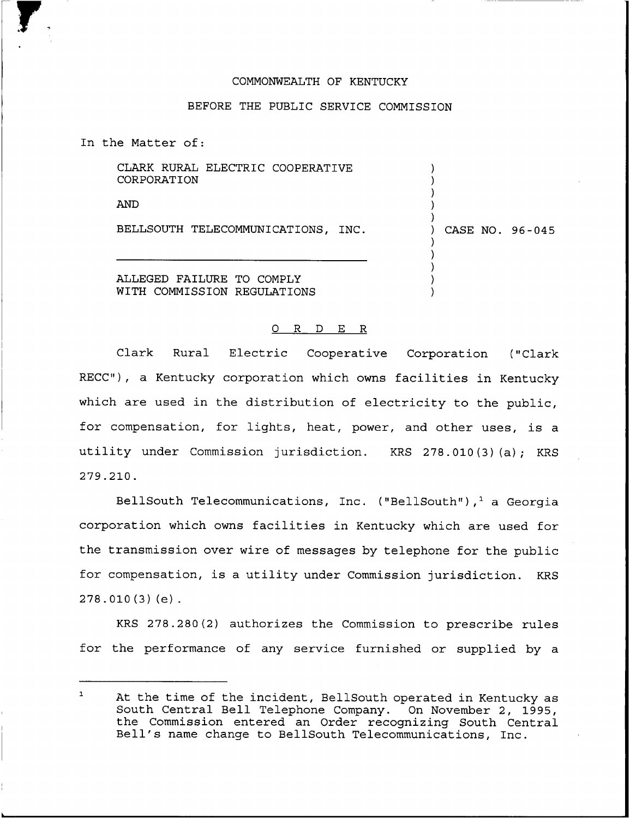## COMMONNEALTH OF KENTUCKY

### BEFORE THE PUBLIC SERVICE COMMISSION

In the Matter of:

CLARK RURAL ELECTRIC COOPERATIVE CORPORATION

AND

BELLSOUTH TELECOMMUNICATIONS, INC.

) CASE NO. 96 —045

) ) ) ) )

) ) ) ) )

ALLEGED FAILURE TO COMPLY WITH COMMISSION REGULATIONS

#### 0 R <sup>D</sup> E R

Clark Rural Electric Cooperative Corporation ("Clark RECC"), a Kentucky corporation which owns facilities in Kentucky which are used in the distribution of electricity to the public, for compensation, for lights, heat, power, and other uses, is a utility under Commission jurisdiction. KRS 278.010(3)(a); KRS 279.210.

BellSouth Telecommunications, Inc. ("BellSouth"),<sup>1</sup> a Georgia corporation which owns facilities in Kentucky which are used for the transmission over wire of messages by telephone for the public for compensation, is a utility under Commission jurisdiction. KRS 278.010(3)(e).

KRS 278.280(2) authorizes the Commission to prescribe rules for the performance of any service furnished or supplied by a

 $\mathbf 1$ At the time of the incident, BellSouth operated in Kentucky as South Central Bell Telephone Company. On November 2, 1995, the Commission entered an Order recognizing South Central Bell's name change to BellSouth Telecommunications, Inc.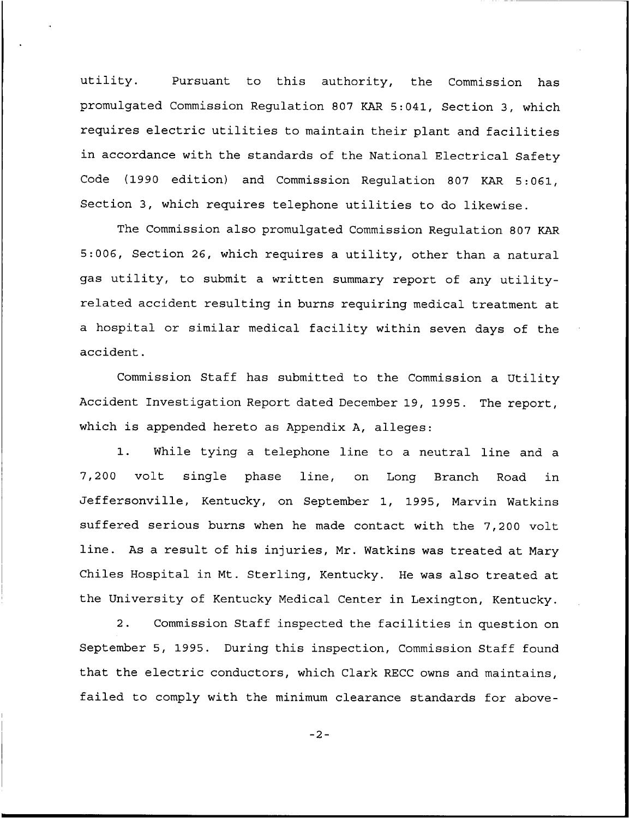utility. Pursuant to this authority, the Commission has promulgated Commission Regulation 807 KAR 5:041, Section 3, which requires electric utilities to maintain their plant and facilities in accordance with the standards of the National Electrical Safety Code (1990 edition) and Commission Regulation 807 KAR 5:061, Section 3, which requires telephone utilities to do likewise.

The Commission also promulgated Commission Regulation 807 KAR 5:006, Section 26, which requires a utility, other than a natural gas utility, to submit <sup>a</sup> written summary report of any utilityrelated accident resulting in burns requiring medical treatment at a hospital or similar medical facility within seven days of the accident.

Commission Staff has submitted to the Commission a Utility Accident Investigation Report dated December 19, 1995. The report, which is appended hereto as Appendix A, alleges:

1. While tying <sup>a</sup> telephone line to <sup>a</sup> neutral line and <sup>a</sup> 7,200 volt single phase line, on Long Branch Road in Jeffersonville, Kentucky, on September 1, 1995, Marvin Watkins suffered serious burns when he made contact with the 7,200 volt line. As a result of his injuries, Mr. Watkins was treated at Mary Chiles Hospital in Mt. Sterling, Kentucky. He was also treated at the University of Kentucky Medical Center in Lexington, Kentucky.

2. Commission Staff inspected the facilities in question on September 5, 1995. During this inspection, Commission Staff found that the electric conductors, which Clark RECC owns and maintains, failed to comply with the minimum clearance standards for above-

 $-2-$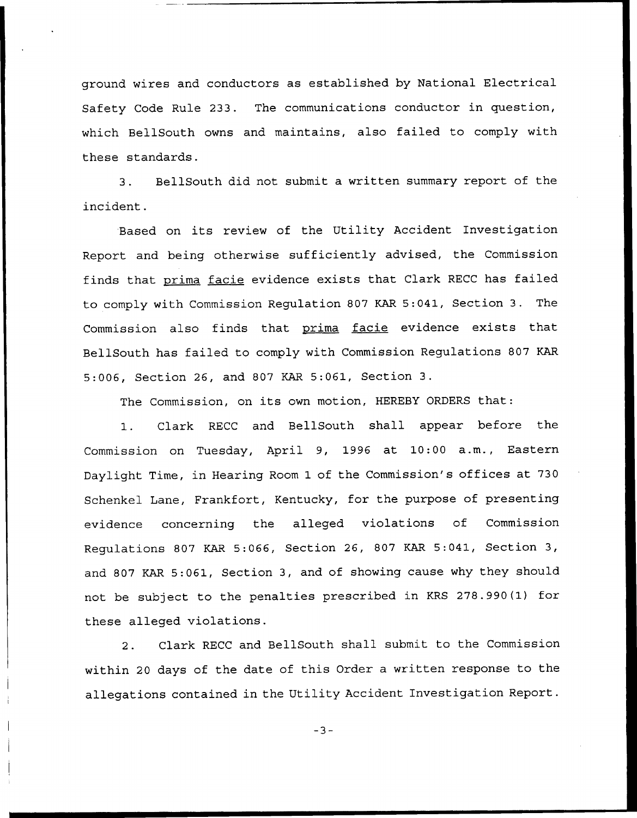ground wires and conductors as established by National Electrical Safety Code Rule 233. The communications conductor in question, which BellSouth owns and maintains, also failed to comply with these standards.

3. BellSouth did not submit a written summary report of the incident.

Based on its review of the Utility Accident Investigation Report and being otherwise sufficiently advised, the Commission finds that prima facie evidence exists that Clark RECC has failed to comply with Commission Regulation <sup>807</sup> KAR 5:041, Section 3. The Commission also finds that prima facie evidence exists that BellSouth has failed to comply with Commission Regulations 807 KAR 5:006, Section 26, and <sup>807</sup> KAR 5:061, Section 3.

The Commission, on its own motion, HEREBY ORDERS that:

1. Clark RECC and BellSouth shall appear before the Commission on Tuesday, April 9, 1996 at 10:00 a.m., Eastern Daylight Time, in Hearing Room 1 of the Commission's offices at 730 Schenkel Lane, Frankfort, Kentucky, for the purpose of presenting evidence concerning the alleged violations of Commission Regulations 807 KAR 5:066, Section 26, 807 KAR 5:041, Section 3, and 807 KAR 5:061, Section 3, and of showing cause why they should not be subject to the penalties prescribed in KRS 278.990{1) for these alleged violations.

2. Clark RECC and BellSouth shall submit to the Commission within 20 days of the date of this Order a written response to the allegations contained in the Utility Accident Investigation Report.

 $-3-$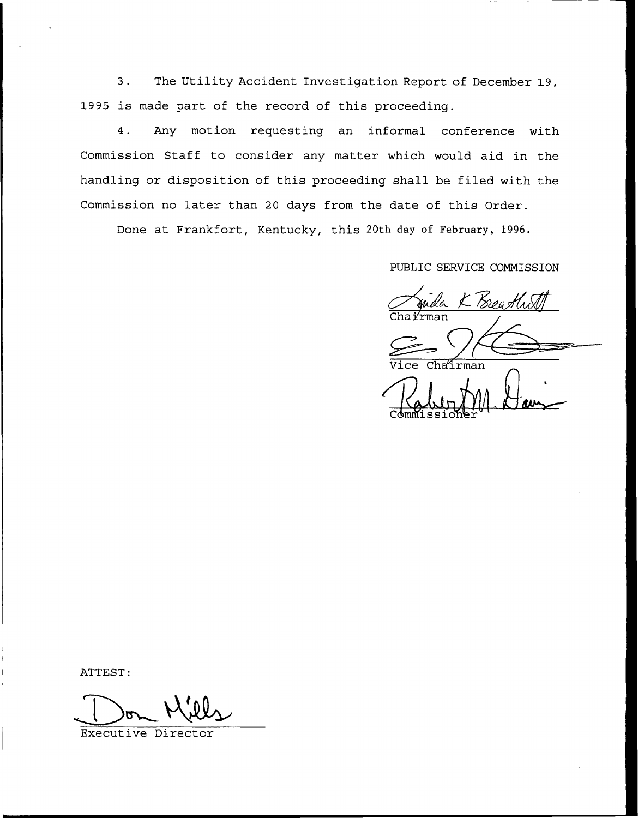3. The Utility Accident Investigation Report of December 19, 1995 is made part of the record of this proceeding.

4. Any motion requesting an informal conference with Commission Staff to consider any matter which would aid in the handling or disposition of this proceeding shall be filed with the Commission no later than <sup>20</sup> days from the date of this Order.

Done at Frankfort, Kentucky, this 20th day of February, 1996.

PUBLIC SERVICE COMMISSION

Juida K Breadhi

îrman

Commission

ATTEST:

Executive Director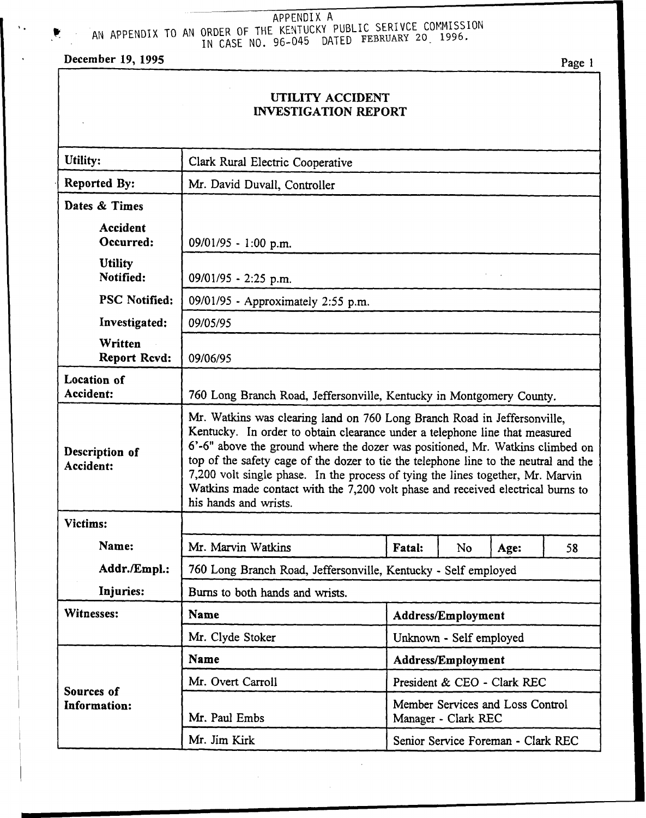APPENDIX A AN APPENDIX TO AN ORDER OF THE KENTUCKY PUBLIC SERIVCE COMMISSION<br>IN CASE NO. 96-045 DATED FEBRUARY 20 1996.

December 19, 1995 Page 1

# UTILITY ACCIDENT INVESTIGATION REPORT

| <b>Utility:</b>                                    | Clark Rural Electric Cooperative                                                                                                                                                                                                                                                                                                                                                                                                                                                                                                |                                                         |  |  |  |  |  |
|----------------------------------------------------|---------------------------------------------------------------------------------------------------------------------------------------------------------------------------------------------------------------------------------------------------------------------------------------------------------------------------------------------------------------------------------------------------------------------------------------------------------------------------------------------------------------------------------|---------------------------------------------------------|--|--|--|--|--|
| <b>Reported By:</b>                                | Mr. David Duvall, Controller                                                                                                                                                                                                                                                                                                                                                                                                                                                                                                    |                                                         |  |  |  |  |  |
| Dates & Times                                      |                                                                                                                                                                                                                                                                                                                                                                                                                                                                                                                                 |                                                         |  |  |  |  |  |
| Accident<br>Occurred:                              | 09/01/95 - 1:00 p.m.                                                                                                                                                                                                                                                                                                                                                                                                                                                                                                            |                                                         |  |  |  |  |  |
| <b>Utility</b><br>Notified:                        | 09/01/95 - 2:25 p.m.                                                                                                                                                                                                                                                                                                                                                                                                                                                                                                            |                                                         |  |  |  |  |  |
| <b>PSC Notified:</b>                               | 09/01/95 - Approximately 2:55 p.m.                                                                                                                                                                                                                                                                                                                                                                                                                                                                                              |                                                         |  |  |  |  |  |
| Investigated:                                      | 09/05/95                                                                                                                                                                                                                                                                                                                                                                                                                                                                                                                        |                                                         |  |  |  |  |  |
| Written<br><b>Report Revd:</b>                     | 09/06/95                                                                                                                                                                                                                                                                                                                                                                                                                                                                                                                        |                                                         |  |  |  |  |  |
| <b>Location</b> of<br>Accident:                    | 760 Long Branch Road, Jeffersonville, Kentucky in Montgomery County.                                                                                                                                                                                                                                                                                                                                                                                                                                                            |                                                         |  |  |  |  |  |
| Description of<br><b>Accident:</b>                 | Mr. Watkins was clearing land on 760 Long Branch Road in Jeffersonville,<br>Kentucky. In order to obtain clearance under a telephone line that measured<br>6'-6" above the ground where the dozer was positioned, Mr. Watkins climbed on<br>top of the safety cage of the dozer to tie the telephone line to the neutral and the<br>7,200 volt single phase. In the process of tying the lines together, Mr. Marvin<br>Watkins made contact with the 7,200 volt phase and received electrical burns to<br>his hands and wrists. |                                                         |  |  |  |  |  |
| Victims:                                           |                                                                                                                                                                                                                                                                                                                                                                                                                                                                                                                                 |                                                         |  |  |  |  |  |
| Name:                                              | Mr. Marvin Watkins                                                                                                                                                                                                                                                                                                                                                                                                                                                                                                              | <b>Fatal:</b><br>No<br>Age:<br>58                       |  |  |  |  |  |
| Addr./Empl.:                                       | 760 Long Branch Road, Jeffersonville, Kentucky - Self employed                                                                                                                                                                                                                                                                                                                                                                                                                                                                  |                                                         |  |  |  |  |  |
| Injuries:                                          | Burns to both hands and wrists.                                                                                                                                                                                                                                                                                                                                                                                                                                                                                                 |                                                         |  |  |  |  |  |
| Witnesses:                                         | Name                                                                                                                                                                                                                                                                                                                                                                                                                                                                                                                            | Address/Employment                                      |  |  |  |  |  |
|                                                    | Mr. Clyde Stoker                                                                                                                                                                                                                                                                                                                                                                                                                                                                                                                | Unknown - Self employed                                 |  |  |  |  |  |
|                                                    | <b>Name</b>                                                                                                                                                                                                                                                                                                                                                                                                                                                                                                                     | Address/Employment                                      |  |  |  |  |  |
| Sources of                                         | Mr. Overt Carroll                                                                                                                                                                                                                                                                                                                                                                                                                                                                                                               | President & CEO - Clark REC                             |  |  |  |  |  |
| Information:                                       | Mr. Paul Embs                                                                                                                                                                                                                                                                                                                                                                                                                                                                                                                   | Member Services and Loss Control<br>Manager - Clark REC |  |  |  |  |  |
| Mr. Jim Kirk<br>Senior Service Foreman - Clark REC |                                                                                                                                                                                                                                                                                                                                                                                                                                                                                                                                 |                                                         |  |  |  |  |  |

÷,

 $\bullet$ 

 $\bar{\mathbf{v}}$  .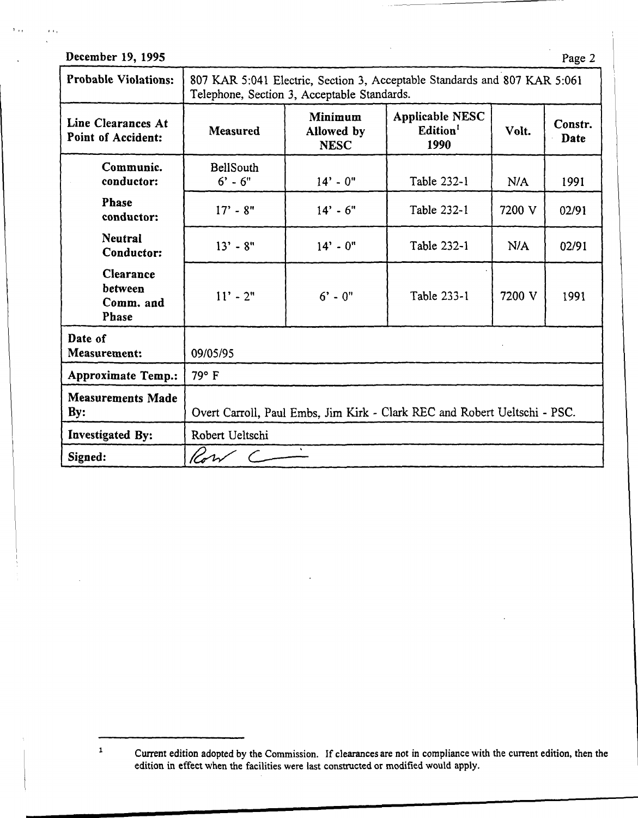December 19, 1995

| <b>Probable Violations:</b>                              | 807 KAR 5:041 Electric, Section 3, Acceptable Standards and 807 KAR 5:061<br>Telephone, Section 3, Acceptable Standards.                      |  |  |  |  |  |  |  |
|----------------------------------------------------------|-----------------------------------------------------------------------------------------------------------------------------------------------|--|--|--|--|--|--|--|
| <b>Line Clearances At</b><br>Point of Accident:          | <b>Applicable NESC</b><br>Minimum<br>Constr.<br>Edition <sup>1</sup><br>Volt.<br><b>Measured</b><br>Allowed by<br>Date<br>1990<br><b>NESC</b> |  |  |  |  |  |  |  |
| Communic.<br>conductor:                                  | BellSouth<br>$6' - 6"$<br>$14' - 0''$<br>Table 232-1<br>N/A                                                                                   |  |  |  |  |  |  |  |
| <b>Phase</b><br>conductor:                               | $17' - 8''$<br>$14' - 6''$<br>Table 232-1<br>7200 V<br>02/91                                                                                  |  |  |  |  |  |  |  |
| <b>Neutral</b><br>Conductor:                             | $13' - 8''$<br>$14' - 0''$<br>Table 232-1<br>N/A                                                                                              |  |  |  |  |  |  |  |
| <b>Clearance</b><br>between<br>Comm. and<br><b>Phase</b> | $11' - 2''$<br>$6' - 0''$<br>Table 233-1<br>7200 V                                                                                            |  |  |  |  |  |  |  |
| Date of<br><b>Measurement:</b>                           | 09/05/95                                                                                                                                      |  |  |  |  |  |  |  |
| <b>Approximate Temp.:</b>                                | 79° F                                                                                                                                         |  |  |  |  |  |  |  |
| <b>Measurements Made</b><br>By:                          | Overt Carroll, Paul Embs, Jim Kirk - Clark REC and Robert Ueltschi - PSC.                                                                     |  |  |  |  |  |  |  |
| <b>Investigated By:</b>                                  | Robert Ueltschi                                                                                                                               |  |  |  |  |  |  |  |
| Signed:                                                  |                                                                                                                                               |  |  |  |  |  |  |  |

 $\mathbf{1}$ 

Current edition adopted by the Commission. If clearances are not in compliance with the current edition, then the edition in effect when the facilities were last constructed or modified would apply,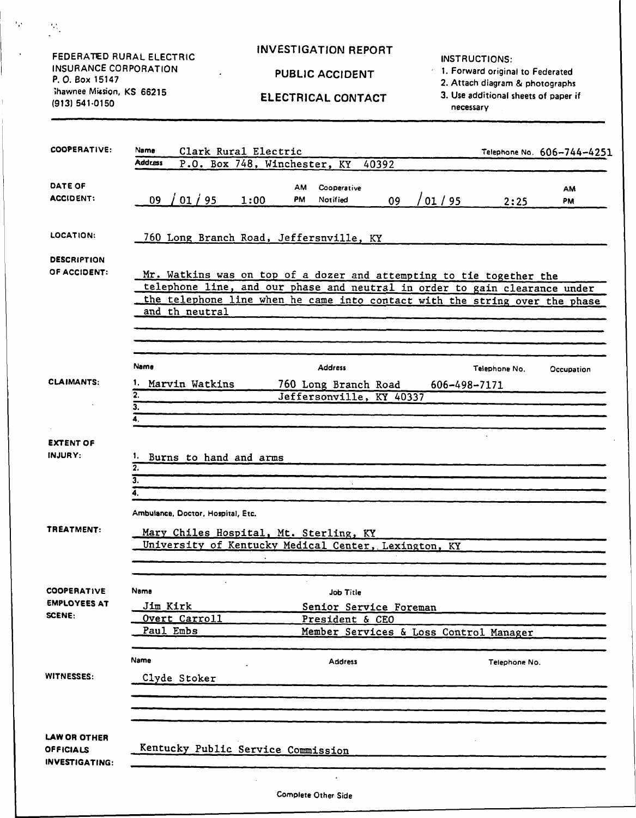| FEDERATED RURAL ELECTRIC<br>INSURANCE CORPORATION<br>P. O. Box 15147<br>Shawnee Mission, KS 66215<br>(913) 541-0150 |                        | <b>INVESTIGATION REPORT</b>                                   |                                                   | INSTRUCTIONS:<br>1. Forward original to Federated<br>2. Attach diagram & photographs |                            |  |  |
|---------------------------------------------------------------------------------------------------------------------|------------------------|---------------------------------------------------------------|---------------------------------------------------|--------------------------------------------------------------------------------------|----------------------------|--|--|
|                                                                                                                     |                        | <b>PUBLIC ACCIDENT</b>                                        |                                                   |                                                                                      |                            |  |  |
|                                                                                                                     |                        | ELECTRICAL CONTACT                                            | 3. Use additional sheets of paper if<br>necessary |                                                                                      |                            |  |  |
|                                                                                                                     |                        |                                                               |                                                   |                                                                                      |                            |  |  |
| <b>COOPERATIVE:</b>                                                                                                 | Name<br><b>Address</b> | Clark Rural Electric<br>P.O. Box 748, Winchester, KY<br>40392 |                                                   |                                                                                      | Telephone No. 606-744-4251 |  |  |

## **DESCRIPTION**

 $\mathbf{r}_{\perp}$ 

 $\mathcal{C}_{\mathcal{C}_{\mathcal{C}}}$ 

OF ACCIDENT: Mr. Watkins was on top of a dozer and attempting to tie together the telephone line, and our phase and neutral in order to gain clearance under the telephone line when he came into contact with the string over the phase and th neutral

|                   | Name           | <b>Address</b>           | Telephone No.<br>Occupation |
|-------------------|----------------|--------------------------|-----------------------------|
| <b>CLAIMANTS:</b> | Marvin Watkins | 760 Long Branch Road     | 606-498-7171                |
|                   |                | Jeffersonville, KY 40337 |                             |
|                   |                |                          |                             |

EXTENT OF

TREATMENT:

INJUR Y: Burns to hand and arms 2.

Ambulance, Doctor, Hospital, Etc.

4.

3. 4.

# Mary Chiles Hospital, Mt. Sterling, KY

| University of Kentucky Medical Center, Lexington, KY |  |
|------------------------------------------------------|--|
|------------------------------------------------------|--|

| <b>COOPERATIVE</b><br><b>EMPLOYEES AT</b><br><b>SCENE:</b>       | Name<br>Jim Kirk<br>Overt Carroll<br>Paul Embs | Job Title<br>Senior Service Foreman<br>President & CEO<br>Member Services & Loss Control Manager |               |
|------------------------------------------------------------------|------------------------------------------------|--------------------------------------------------------------------------------------------------|---------------|
| <b>WITNESSES:</b>                                                | Name<br>Clyde Stoker                           | <b>Address</b>                                                                                   | Telephone No. |
| <b>LAW OR OTHER</b><br><b>OFFICIALS</b><br><b>INVESTIGATING:</b> | Kentucky Public Service Commission             |                                                                                                  |               |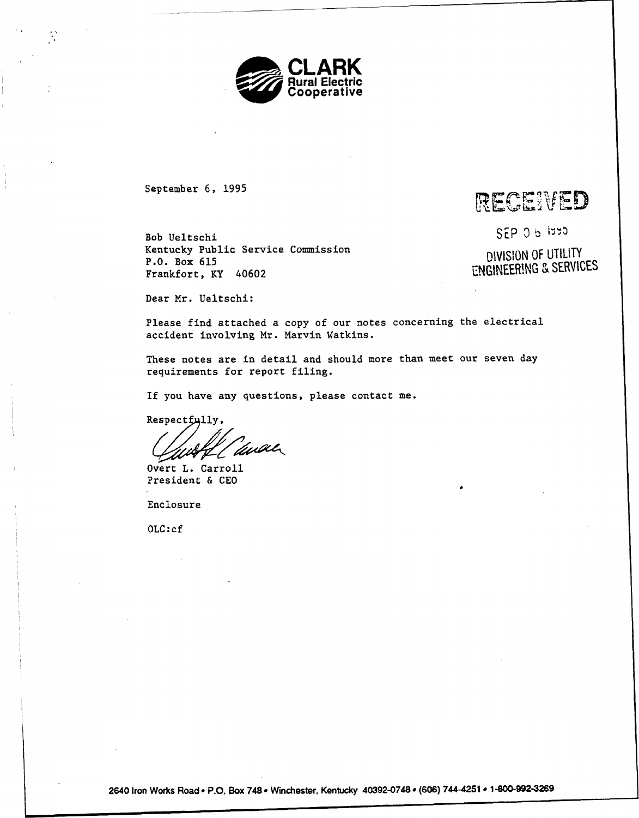

 $\mathbb{R}\mathbb{C}\mathbb{C}\mathbb{C}$   $\mathbb{R}$ 

StP J ii <sup>I</sup>J~3

Bob Ueltschi Kentucky Public Service Commission P.O. Box 615 Frankfort, KY 40602

DIVISION OF UTllITY ENGINEERING & SERVICES

Dear Nr. Ueltschi:

Please find attached a copy of our notes concerning the electrical accident involving Nr. Narvin Matkins.

These notes are in detail and should more than meet our seven day requirements for report filing.

If you have any questions, please contact me.

Respectfully,

auai

Overt L. Carroll President <sup>6</sup> CEO

Enclosure

OLC'cf

2640 Iron Works Road · P.O. Box 748 · Winchester, Kentucky 40392-0748 · (606) 744-4251 · 1-800-992-3269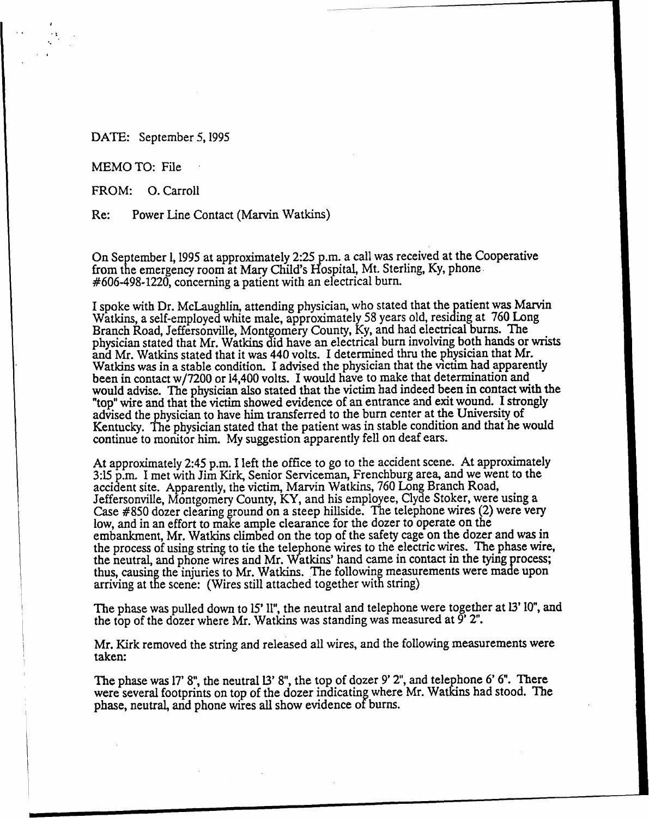DATE: September 5, 1995

MEMO TO: File

FROM: O. Carroll

Re: Power Line Contact (Marvin Watkins)

On September 1, 1995 at approximately 2:25 p.m. a call was received at the Cooperative from tne emergency room at Mary Child's Hospital, Mt. Sterling, Ky, phone 4606-498-1220, concerning a patient with an electrical burn.

I spoke with Dr. McLaughlin, attending physician, who stated that the patient was Marvin Watkins, a self-employed white male, approximately 58 years old, residing at 760 Long Branch Road, Jeffersonville, Montgomery County, Ky, and had electrical burns. The physician stated that Mr. Watkins did have an electrical burn involving both hands or wrists and Mr. Watkins stated that it was 440 volts. I determined thru the physician that Mr. Watkins was in a stable condition. I advised the physician that the victim had apparently would advise. The physician also stated that the victim had indeed been in contact with the been in contact w/7200 or 14,400 volts. I would have to make that determination and as in a stable condition. I advised the physician that the victim had apparently<br>tact w/7200 or 14,400 volts. I would have to make that determination and<br>se. The physician also stated that the victim had indeed been in con advised the physician to have him transferred to the burn center at the University of "top" wire and that the victim showed evidence of an entrance and exit wound. I strongly Kentucky. The physician stated that the patient was in stable condition and that he would continue to monitor him. My suggestion apparently fell on deaf ears.

At approximately 2:45 p.m. I left the office to go to the accident scene. At approximately 3:15p.m. I met with Jim Kirk, Senior Serviceman, Frenchburg area, and we went to the accident site. Apparently, the victim, Marvin Watkins, 760 Long Branch Road, Jeffersonville, Montgomery County, KY, and his employee, Clyde Stoker, were using a Case #850 dozer clearing ground on a steep hillside. The telephone wires (2) were very low, and in an effort to make ample clearance for the dozer to operate on the embankment, Mr. Watkins climbed on the top of the safety cage on the dozer and was in the process of using string to tie the telephone wires to the electric wires. The phase wire, the neutral, and phone wires and Mr. Watkins' hand came in contact in the tying process; thus, causing the injuries to Mr. Watkins. The following measurements were made upon arriving at the scene: (Wires still attached together with string)

The phase was pulled down to 15'll", the neutral and telephone were together at 13'10", and the top of the dozer where Mr. Watkins was standing was measured at  $\overline{9}'$  2".

taken: Mr. Kirk removed the string and released all wires, and the following measurements were

The phase was 17' 8", the neutral 13' 8", the top of dozer  $9'$  2", and telephone 6' 6". There were several footprints on top of the dozer indicating where Mr. Watkins had stood. The phase, neutral, and phone wires all show evidence of burns.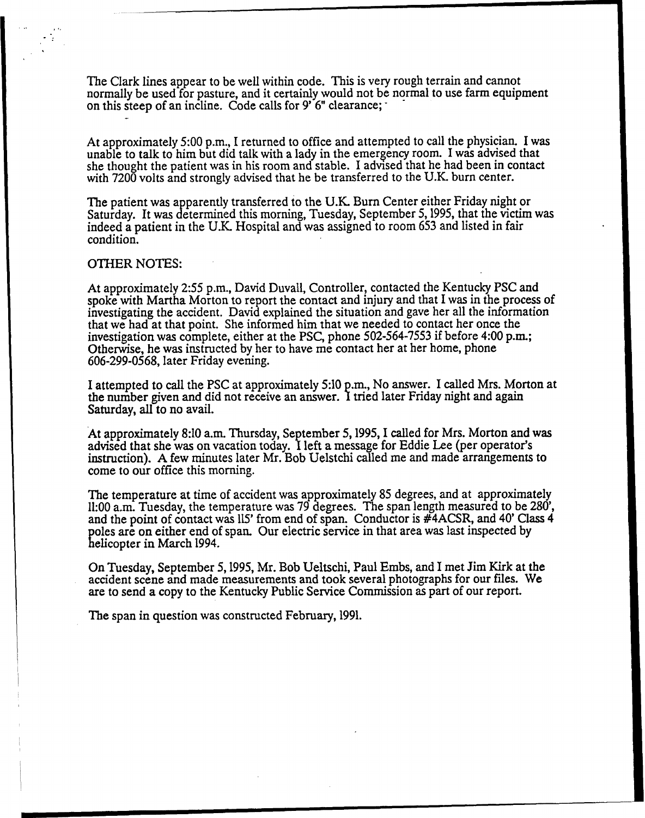The Clark lines appear to be well within code. This is very rough terrain and cannot normally be used for pasture, and it certainly would not be normal to use farm equipment on this steep of an incline. Code calls for  $9'6''$  clearance;

At approximately 5:00 p.m., I returned to office and attempted to call the physician. I was unable to talk to him but did talk with a lady in the emergency room. I was advised that she thought the patient was in his room and stable. I advised that he had been in contact with 7200 volts and strongly advised that he be transferred to the U.K. burn center.

The patient was apparently transferred to the U.K. Burn Center either Friday night or Saturday. It was determined this morning, Tuesday, September 5, 1995, that the victim was indeed a patient in the U.K Hospital and was assigned to room 653 and listed in fair condition.

# OTHER NOTES:

At approximately 2:55 p.m., David Duvall, Controller, contacted the Kentucky PSC and spoke with Martha Morton to report the contact and injury and that I was in the process of investigating the accident. David explained the situation and gave her all the information that we had at that point. She informed him that we needed to contact her once the investigation was complete, either at the PSC, phone  $502-564-7553$  if before 4:00 p.m.; Otherwise, he was instructed by her to have me contact her at her home, phone 606-299-0568, later Friday evening.

I attempted to call the PSC at approximately 5:10 p.m., No answer. I called Mrs. Morton at the number given and did not receive an answer. I tried later Friday night and again Saturday, all to no avail.

At approximately 8:10 a.m. Thursday, September 5, 1995, I called for Mrs. Morton and was advised that she was on vacation today. I left a message for Eddie Lee (per operator's instruction). A few minutes later Mr. Bob Uelstchi called me and made arrangements to come to our office this morning.

The temperature at time of accident was approximately 85 degrees, and at approximately 11:00a.m. Tuesday, the temperature was 79 degrees. The span length measured to be 280', and the point of contact was  $15'$  from end of span. Conductor is  $\#4ACSR$ , and 40' Class 4 poles are on either end of span. Our electric service in that area was last inspected by helicopter in March 1994.

On Tuesday, September 5, 1995, Mr. Bob Ueltschi, Paul Embs, and I met Jim Kirk at the accident scene and made measurements and took several photographs for our files. We are to send a copy to the Kentucky Public Service Commission as part of our report.

The span in question was constructed February, 1991.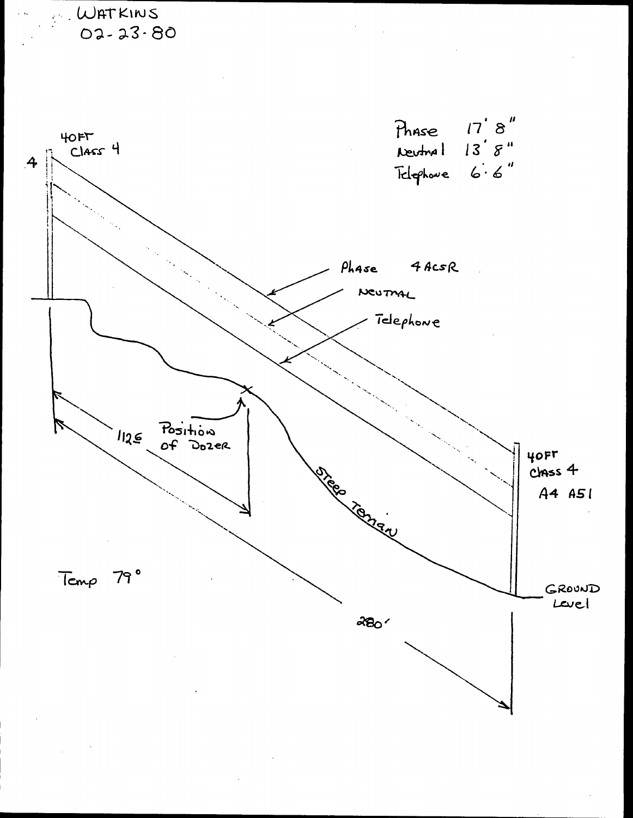

WATKINS

 $02 - 23 - 80$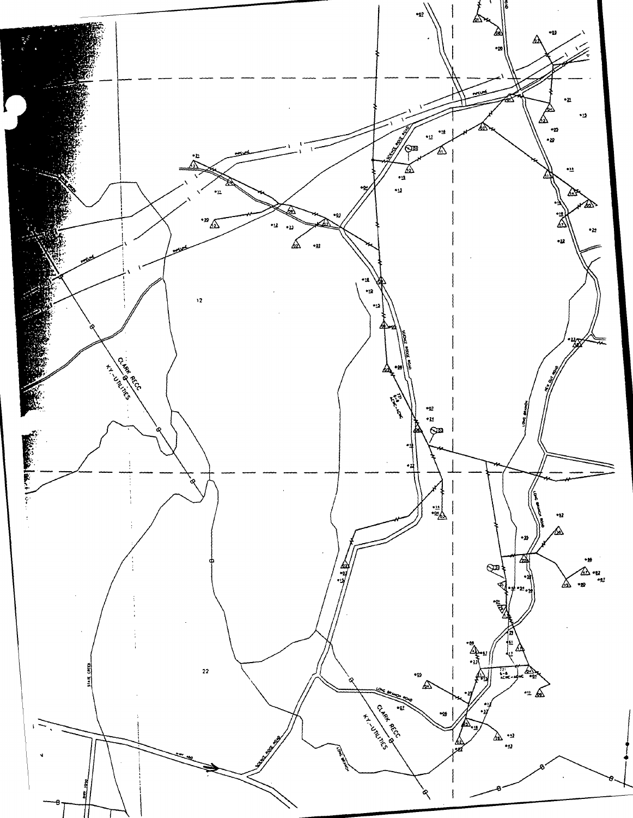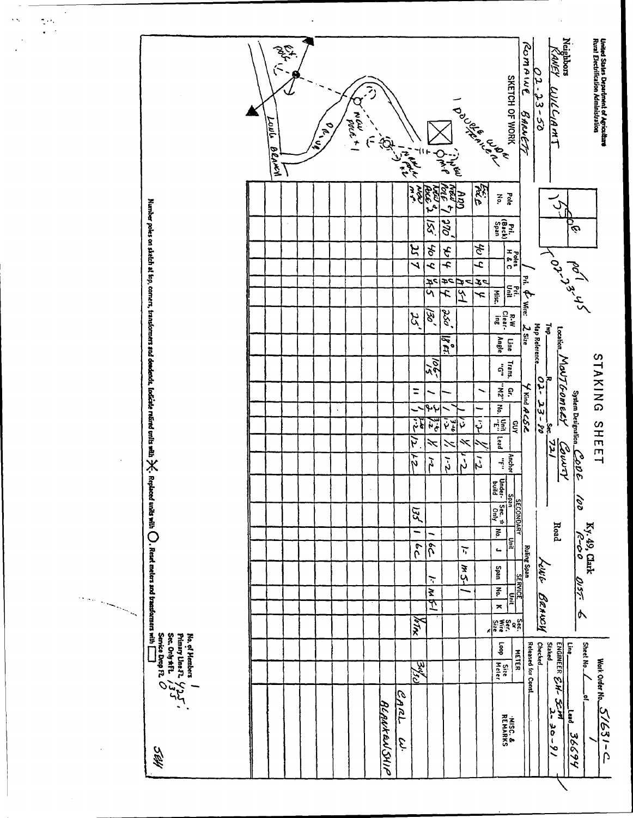|               |                                                                                                                                                                                                                                                                   | LA<br>يكالدندا<br><b>BRANCH</b> | ∾<br>RIVAR | New +1<br>$\in$ | $-30 -$            | I AMARI                       |                                              | لا<br>م<br>د<br>چ                         |                                  | SKETCH OF WORK                                                                                | Neighbors<br>Readabors<br>United States Department of Agriculture<br>Rural Electrification Administration<br>Romaive<br>02-33-50<br>WILLIAMI<br>BANET |
|---------------|-------------------------------------------------------------------------------------------------------------------------------------------------------------------------------------------------------------------------------------------------------------------|---------------------------------|------------|-----------------|--------------------|-------------------------------|----------------------------------------------|-------------------------------------------|----------------------------------|-----------------------------------------------------------------------------------------------|-------------------------------------------------------------------------------------------------------------------------------------------------------|
|               |                                                                                                                                                                                                                                                                   |                                 |            |                 |                    | يو<br>ج                       | <b>12622</b><br>2002<br>2012                 | <b>HEAT</b><br>$\frac{4\pi}{3}$           | آمندی<br>دین                     | Pole<br>š                                                                                     |                                                                                                                                                       |
|               |                                                                                                                                                                                                                                                                   |                                 |            |                 |                    |                               | 55                                           | out                                       |                                  | <br>  Gack)<br>  Span                                                                         | نفجا                                                                                                                                                  |
|               |                                                                                                                                                                                                                                                                   |                                 |            |                 |                    | ξ<br>$\overline{\mathcal{L}}$ | of,<br>$\overline{\mathbf{c}}$               | $\frac{1}{\sqrt{2}}$<br>$\overline{\ast}$ | Ŀ<br>Ŀ                           | Poles<br>H & C                                                                                |                                                                                                                                                       |
|               |                                                                                                                                                                                                                                                                   |                                 |            |                 |                    |                               | $\overline{\mathcal{F}}$<br>ল                | $\frac{1}{2}$<br>Ē.<br>$\vec{r}$          | $\mathcal{I}_{\mathcal{L}}$<br>J | 딆                                                                                             | $\begin{bmatrix} \rho \sigma' & \mu_{S'} \\ \rho \sigma' & \rho^{3'} \end{bmatrix}$                                                                   |
|               |                                                                                                                                                                                                                                                                   |                                 |            |                 |                    | 25                            | $\tilde{\mathcal{B}}'$                       | $\overline{\mathcal{I}}$<br>ose           | $\star$                          | Misc.<br>R.W.<br>Clear-                                                                       | Pri. & Wire:                                                                                                                                          |
|               |                                                                                                                                                                                                                                                                   |                                 |            |                 |                    |                               |                                              | $\frac{\partial}{\partial t}$             |                                  | Angle<br><b>Fine</b>                                                                          | <b>Map Reference.</b><br>iki<br>T<br>$\boldsymbol{\mathcal{Z}}$ Size<br>Location_                                                                     |
|               |                                                                                                                                                                                                                                                                   |                                 |            |                 |                    |                               | $\overline{\tilde{\mathcal{S}}}_{\tilde{z}}$ |                                           |                                  | Trans.<br>ခဲ့                                                                                 |                                                                                                                                                       |
|               |                                                                                                                                                                                                                                                                   |                                 |            |                 |                    | $\equiv$                      |                                              |                                           |                                  | .2M<br>Ģ.                                                                                     | STAKING<br>MaNTGomeRY                                                                                                                                 |
|               |                                                                                                                                                                                                                                                                   |                                 |            |                 |                    | ارج<br>معم                    | مهم<br>$\frac{1}{2}$                         | $\vec{v}$<br>$\tilde{\mathbf{v}}$         | ॄ                                | ž.<br>$\frac{1}{2}$<br><b>CDY</b>                                                             | $\frac{R}{02}$ 23-10<br>Y Kind A CSR<br>System Designation $\mathcal{L}^{QOL}$                                                                        |
|               |                                                                                                                                                                                                                                                                   |                                 |            |                 |                    | ý                             | Þ                                            | $\asymp$                                  | $\overline{\mathscr{C}}$         | test                                                                                          | SHEET<br>721                                                                                                                                          |
|               |                                                                                                                                                                                                                                                                   |                                 |            |                 |                    | 71                            | ŕ                                            | $\overline{z}$ -1<br>ù                    | $\frac{1}{2}$                    | Anchor<br>÷,<br>اء                                                                            | Court                                                                                                                                                 |
|               |                                                                                                                                                                                                                                                                   |                                 |            |                 |                    |                               |                                              |                                           |                                  | Jader<br>build<br><b>Span</b>                                                                 | $\overline{\rho}$                                                                                                                                     |
|               |                                                                                                                                                                                                                                                                   |                                 |            |                 |                    | Ĩζ<br>∽                       |                                              |                                           |                                  | <b>SECONDARY</b><br>$\left[\begin{smallmatrix} 5e & b \\ 0 & 0 \end{smallmatrix}\right]$<br>š | Road                                                                                                                                                  |
|               |                                                                                                                                                                                                                                                                   |                                 |            |                 |                    | ぐん                            | $\tilde{\gamma}$                             | $\overline{v}$                            |                                  | $\tilde{\mathbb{F}}$<br><b>L</b>                                                              | $Ky. 49$ , Clark<br>$\frac{\beta-\infty}{\beta-\infty}$                                                                                               |
|               |                                                                                                                                                                                                                                                                   |                                 |            |                 |                    |                               | ᠅                                            | Å                                         |                                  | uedS                                                                                          | <b>Puing Span<br/>Puing Span<br/>Puis Span<br/>Puint</b><br>خابونى                                                                                    |
| t an air an a |                                                                                                                                                                                                                                                                   |                                 |            |                 |                    |                               | ∣₹<br><u>ক</u>                               |                                           |                                  | ke.<br>$\overline{\phantom{a}}$                                                               | 057.<br>Benvey<br> ሌ $\overline{\phantom{a}}$                                                                                                         |
|               |                                                                                                                                                                                                                                                                   |                                 |            |                 |                    | <b>Viki</b>                   |                                              |                                           |                                  |                                                                                               |                                                                                                                                                       |
|               | Friency ples on skelch at top, concer, transformers and deadents, locking with $\sum$ . Reset meters and transformers with $\sum_{i=1}^{\infty} 1$ or $\mathcal{O}$<br>Number poles on skelch at top, concer, transformers and deadents, lockin<br>No. of Hembers |                                 |            |                 |                    |                               |                                              |                                           |                                  | $\frac{1}{2}$<br><b>METER</b>                                                                 | Staked.<br>Released for Const.<br>Checked <sub>-</sub><br>Sheet No.<br>ENGINEER EN<br>ا<br>أ                                                          |
|               |                                                                                                                                                                                                                                                                   |                                 |            |                 |                    | 330                           |                                              |                                           |                                  | Size<br>Meler                                                                                 | Wark Order No.                                                                                                                                        |
|               | <b>SEN</b>                                                                                                                                                                                                                                                        |                                 |            |                 | <b>ALANKENSHIP</b> | لمصاحك<br>Ċ                   |                                              |                                           |                                  | HISC. &<br>REMARKS                                                                            | .ءِ<br>ج<br>Ą,<br>$5/631 - C$<br>-<br>השפ<br>۲,<br>$\frac{30-91}{3}$<br>36894                                                                         |
|               |                                                                                                                                                                                                                                                                   |                                 |            |                 |                    |                               |                                              |                                           |                                  |                                                                                               |                                                                                                                                                       |

 $\ddot{\phantom{a}}$ 

 $\sim 10^{11}$  $\begin{bmatrix} \mathcal{D}^{\alpha} \\ \mathcal{D}^{\beta} \end{bmatrix}$ 

Ō,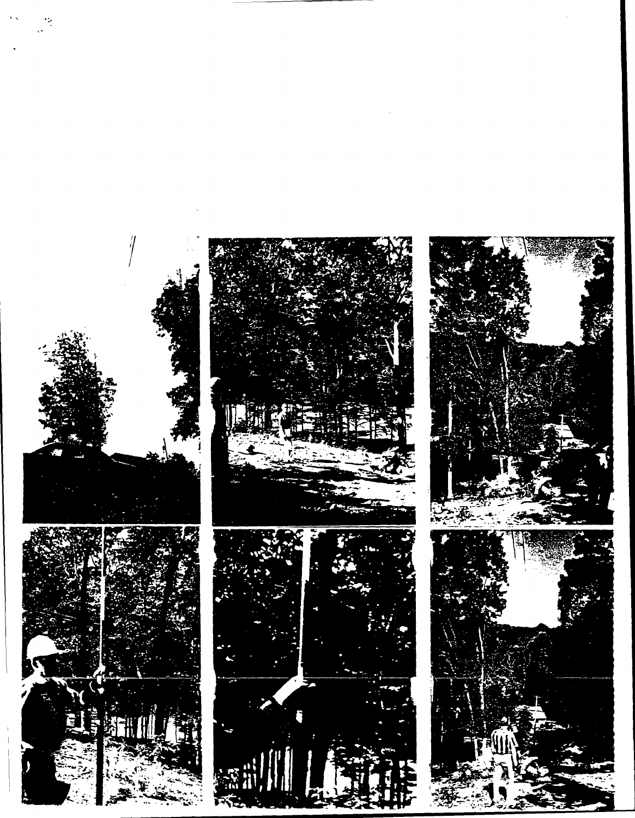